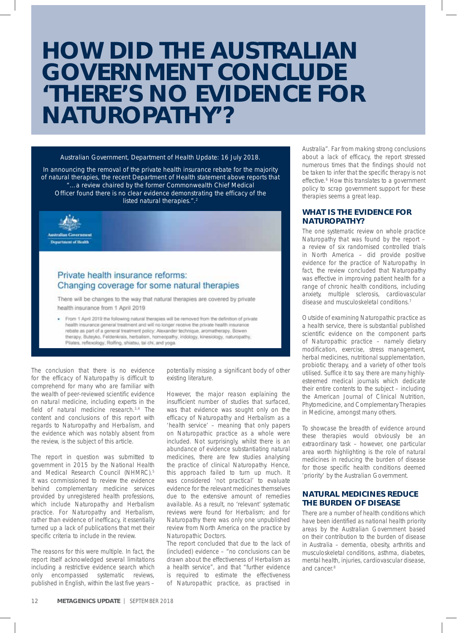# **HOW DID THE AUSTRALIAN GOVERNMENT CONCLUDE 'THERE'S NO EVIDENCE FOR NATUROPATHY'?**

#### *Australian Government, Department of Health Update: 16 July 2018.*

*In announcing the removal of the private health insurance rebate for the majority of natural therapies, the recent Department of Health statement above reports that "…a review chaired by the former Commonwealth Chief Medical Officer found there is no clear evidence demonstrating the efficacy of the listed natural therapies.".2*



## Private health insurance reforms: Changing coverage for some natural therapies

There will be changes to the way that natural therapies are covered by private health insurance from 1 April 2019

From 1 April 2019 the following natural therapies will be removed from the definition of private health insurance general treatment and will no longer receive the private health insurance rebate as part of a general treatment policy. Alexander technique, aromatherapy, Bowen therapy, Buteyko, Feldenkrais, herbalism, homeopathy, indology, kinesiology, naturopathy, Pilates, reflexology, Rolfing, shiatsu, tai chi, and yoga.

| The conclusion that there is no evidence               |
|--------------------------------------------------------|
| for the efficacy of Naturopathy is difficult to        |
| comprehend for many who are familiar with              |
| the wealth of peer-reviewed scientific evidence        |
| on natural medicine, including experts in the          |
| field of natural medicine research. <sup>3,4</sup> The |
| content and conclusions of this report with            |
| regards to Naturopathy and Herbalism, and              |
| the evidence which was notably absent from             |
| the review, is the subject of this article.            |

The report in question was submitted to government in 2015 by the National Health and Medical Research Council (NHMRC).5 It was commissioned to review the evidence behind complementary medicine services provided by unregistered health professions, which include Naturopathy and Herbalism practice. For Naturopathy and Herbalism, rather than evidence of inefficacy, it essentially turned up a lack of publications that met their specific criteria to include in the review.

The reasons for this were multiple. In fact, the report itself acknowledged several limitations including a restrictive evidence search which only encompassed systematic reviews, published in English, within the last five years –

potentially missing a significant body of other existing literature.

However, the major reason explaining the insufficient number of studies that surfaced, was that evidence was sought only on the efficacy of Naturopathy and Herbalism as a 'health service' – meaning that only papers on Naturopathic practice as a whole were included. Not surprisingly, whilst there is an abundance of evidence substantiating natural medicines, there are few studies analysing the practice of clinical Naturopathy. Hence, this approach failed to turn up much. It was considered 'not practical' to evaluate evidence for the relevant medicines themselves due to the extensive amount of remedies available. As a result, no 'relevant' systematic reviews were found for Herbalism; and for Naturopathy there was only one unpublished review from North America on the practice by Naturopathic Doctors.

The report concluded that due to the lack of (included) evidence – "no conclusions can be drawn about the effectiveness of Herbalism as a health service", and that "further evidence is required to estimate the effectiveness of Naturopathic practice, as practised in Australia". Far from making strong conclusions about a lack of efficacy, the report stressed numerous times that the findings should not be taken to infer that the specific therapy is not effective.<sup>6</sup> How this translates to a government policy to scrap government support for these therapies seems a great leap.

#### **WHAT IS THE EVIDENCE FOR NATUROPATHY?**

The one systematic review on whole practice Naturopathy that was found by the report – a review of six randomised controlled trials in North America – did provide positive evidence for the practice of Naturopathy. In fact, the review concluded that Naturopathy was effective in improving patient health for a range of chronic health conditions, including anxiety, multiple sclerosis, cardiovascular disease and musculoskeletal conditions.7

Outside of examining Naturopathic practice as a health service, there is substantial published scientific evidence on the component parts of Naturopathic practice – namely dietary modification, exercise, stress management, herbal medicines, nutritional supplementation, probiotic therapy, and a variety of other tools utilised. Suffice it to say, there are many highlyesteemed medical journals which dedicate their entire contents to the subject – including the American Journal of Clinical Nutrition, Phytomedicine, and Complementary Therapies in Medicine, amongst many others.

To showcase the breadth of evidence around these therapies would obviously be an extraordinary task – however, one particular area worth highlighting is the role of natural medicines in reducing the burden of disease for those specific health conditions deemed 'priority' by the Australian Government.

#### **NATURAL MEDICINES REDUCE THE BURDEN OF DISEASE**

There are a number of health conditions which have been identified as national health priority areas by the Australian Government based on their contribution to the burden of disease in Australia – dementia, obesity, arthritis and musculoskeletal conditions, asthma, diabetes, mental health, injuries, cardiovascular disease, and cancer.8